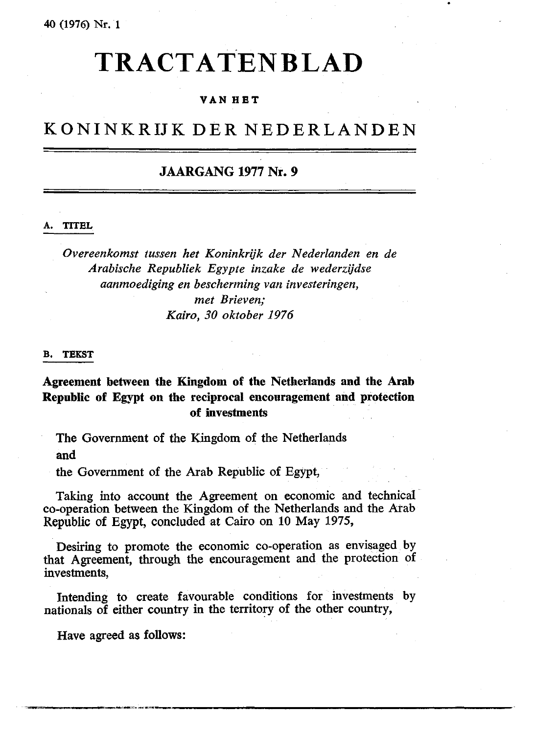# TR ACT ATEN BLAD

# **VAN HET**

# KONINKRIJK DER NEDERLANDEN

# **JAARGANG 1977 Nr. 9**

#### **A. TITEL**

*Overeenkomst tussen het Koninkrijk der Nederlanden en de Arabische Republiek Egypte inzake de wederzijdse aanmoediging en bescherming van investeringen, met Brieven; Kairo, 30 oktober 1976*

#### **B. TEKST**

**Agreement between the Kingdom of the Netherlands and the Arab Republic of Egypt on the reciprocal encouragement and protection of investments**

The Government of the Kingdom of the Netherlands and

the Government of the Arab Republic of Egypt,

Taking into account the Agreement on economic and technical co-operation between the Kingdom of the Netherlands and the Arab Republic of Egypt, concluded at Cairo on 10 May 1975,

Desiring to promote the economic co-operation as envisaged by that Agreement, through the encouragement and the protection of investments,

Intending to create favourable conditions for investments by nationals of either country in the territory of the other country,

Have agreed as **follows:**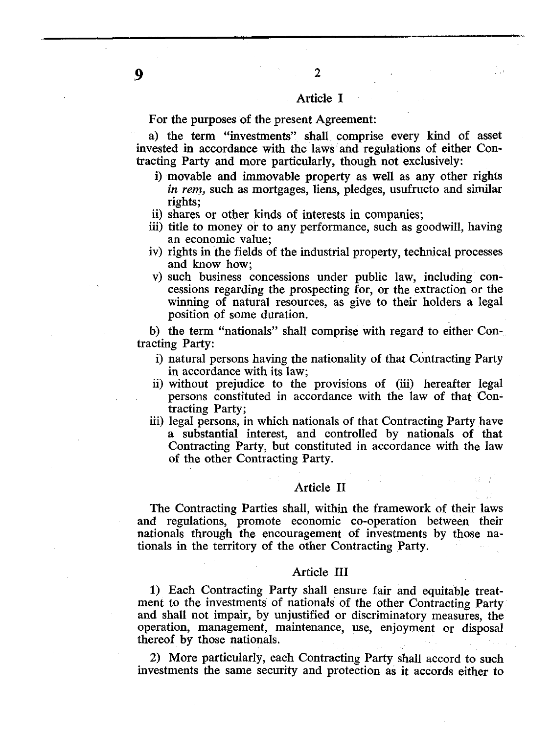#### Article I

 $\overline{2}$ 

For the purposes of the present Agreement:

a) the term "investments" shall comprise every kind of asset invested in accordance with the laws and regulations of either Contracting Party and more particularly, though not exclusively:

- i) movable and immovable property as well as any other rights *in rem,* such as mortgages, liens, pledges, usufructo and similar rights;
- ii) shares or other kinds of interests in companies;
- iii) title to money or to any performance, such as goodwill, having an economic value;
- iv) rights in the fields of the industrial property, technical processes and know how;
- v) such business concessions under public law, including concessions regarding the prospecting for, or the extraction or the winning of natural resources, as give to their holders a legal position of some duration.

b) the term "nationals" shall comprise with regard to either Contracting Party:

- i) natural persons having the nationality of that Contracting Party in accordance with its law;
- ii) without prejudice to the provisions of (iii) hereafter legal persons constituted in accordance with the law of that Contracting Party;
- iii) legal persons, in which nationals of that Contracting Party have a substantial interest, and controlled by nationals of that Contracting Party, but constituted in accordance with the law of the other Contracting Party.

#### Article II

The Contracting Parties shall, within the framework of their laws and regulations, promote economic co-operation between their nationals through the encouragement of investments by those nationals in the territory of the other Contracting Party.

#### Article III

1) Each Contracting Party shall ensure fair and equitable treatment to the investments of nationals of the other Contracting Party and shall not impair, by unjustified or discriminatory measures, the operation, management, maintenance, use, enjoyment or disposal thereof by those nationals.

2) More particularly, each Contracting Party shall accord to such investments the same security and protection as it accords either to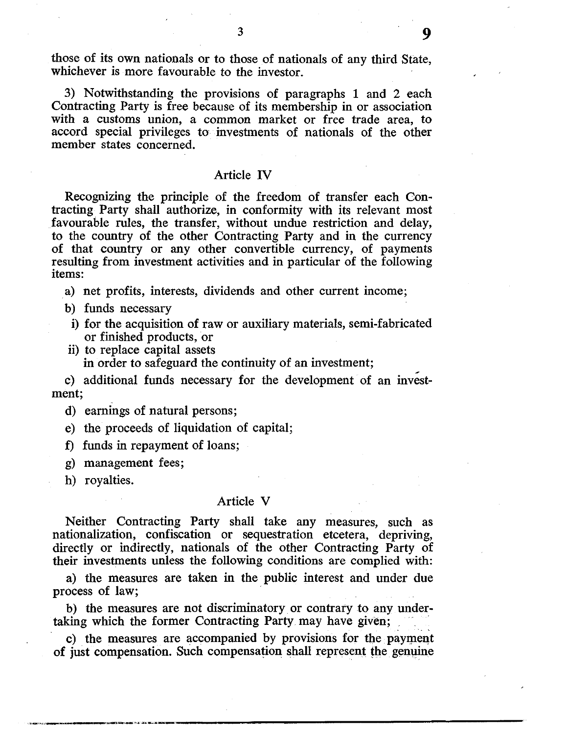those of its own nationals or to those of nationals of any third State, whichever is more favourable to the investor.

3

3) Notwithstanding the provisions of paragraphs 1 and 2 each Contracting Party is free because of its membership in or association with a customs union, a common market or free trade area, to accord special privileges to investments of nationals of the other member states concerned.

#### Article IV

Recognizing the principle of the freedom of transfer each Contracting Party shall authorize, in conformity with its relevant most favourable rules, the transfer, without undue restriction and delay, to the country of the other Contracting Party and in the currency of that country or any other convertible currency, of payments resulting from investment activities and in particular of the following items:

a) net profits, interests, dividends and other current income;

- b) funds necessary
- i) for the acquisition of raw or auxiliary materials, semi-fabricated or finished products, or
- ii) to replace capital assets in order to safeguard the continuity of an investment;

c) additional funds necessary for the development of an investment;

d) earnings of natural persons;

e) the proceeds of liquidation of capital;

f) funds in repayment of loans;

- g) management fees;
- h) royalties.

#### Article V

Neither Contracting Party shall take any measures, such as nationalization, confiscation or sequestration etcetera, depriving, directly or indirectly, nationals of the other Contracting Party of their investments unless the following conditions are complied with:

a) the measures are taken in the public interest and under due process of law;

b) the measures are not discriminatory or contrary to any undertaking which the former Contracting Party may have given;

c) the measures are accompanied by provisions for the payment of just compensation. Such compensation shall represent the genuine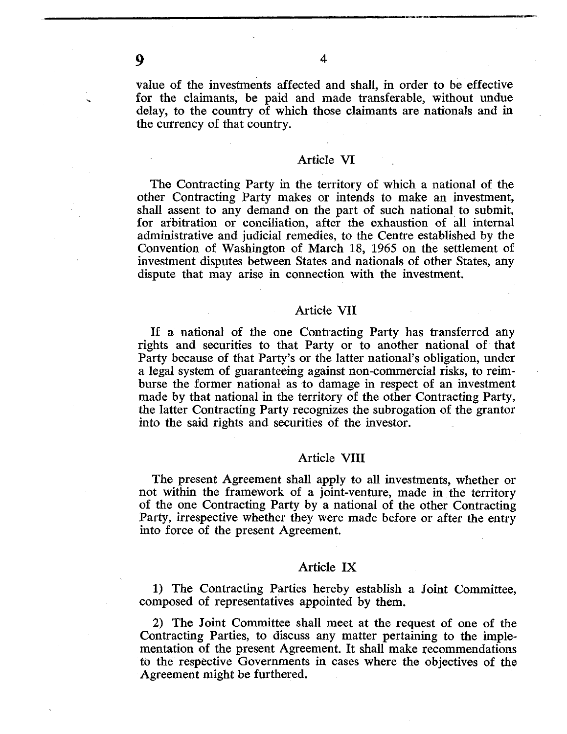9

value of the investments affected and shall, in order to be effective for the claimants, be paid and made transferable, without undue delay, to the country of which those claimants are nationals and in the currency of that country.

 $\overline{\mathbf{4}}$ 

#### Article VI

The Contracting Party in the territory of which a national of the other Contracting Party makes or intends to make an investment, shall assent to any demand on the part of such national to submit, for arbitration or conciliation, after the exhaustion of all internal administrative and judicial remedies, to the Centre established by the Convention of Washington of March 18, 1965 on the settlement of investment disputes between States and nationals of other States, any dispute that may arise in connection with the investment.

## Article VII

If a national of the one Contracting Party has transferred any rights and securities to that Party or to another national of that Party because of that Party's or the latter national's obligation, under a legal system of guaranteeing against non-commercial risks, to reimburse the former national as to damage in respect of an investment made by that national in the territory of the other Contracting Party, the latter Contracting Party recognizes the subrogation of the grantor into the said rights and securities of the investor.

## Article VIII

The present Agreement shall apply to all investments, whether or not within the framework of a joint-venture, made in the territory of the one Contracting Party by a national of the other Contracting Party, irrespective whether they were made before or after the entry into force of the present Agreement.

## Article IX

1) The Contracting Parties hereby establish a Joint Committee, composed of representatives appointed by them.

2) The Joint Committee shall meet at the request of one of the Contracting Parties, to discuss any matter pertaining to the implementation of the present Agreement. It shall make recommendations to the respective Governments in cases where the objectives of the Agreement might be furthered.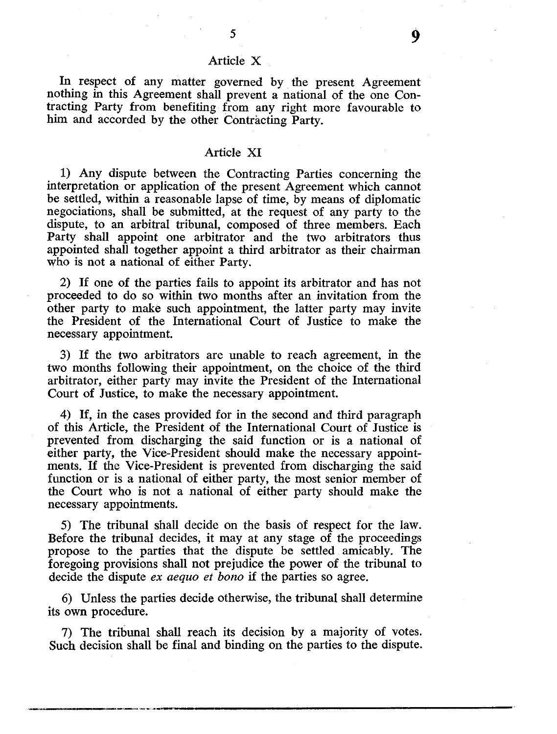# Article X

5

In respect of any matter governed by the present Agreement nothing in this Agreement shall prevent a national of the one Contracting Party from benefiting from any right more favourable to him and accorded by the other Contracting Party.

#### Article XI

1) Any dispute between the Contracting Parties concerning the interpretation or application of the present Agreement which cannot be settled, within a reasonable lapse of time, by means of diplomatic negociations, shall be submitted, at the request of any party to the dispute, to an arbitral tribunal, composed of three members. Each Party shall appoint one arbitrator and the two arbitrators thus appointed shall together appoint a third arbitrator as their chairman who is not a national of either Party.

2) If one of the parties fails to appoint its arbitrator and has not proceeded to do so within two months after an invitation from the other party to make such appointment, the latter party may invite the President of the International Court of Justice to make the necessary appointment.

3) If the two arbitrators are unable to reach agreement, in the two months following their appointment, on the choice of the third arbitrator, either party may invite the President of the International Court of Justice, to make the necessary appointment.

4) If, in the cases provided for in the second and third paragraph of this Article, the President of the International Court of Justice is prevented from discharging the said function or is a national of either party, the Vice-President should make the necessary appointments. If the Vice-President is prevented from discharging the said function or is a national of either party, the most senior member of the Court who is not a national of either party should make the necessary appointments.

5) The tribunal shall decide on the basis of respect for the law. Before the tribunal decides, it may at any stage of the proceedings propose to the parties that the dispute be settled amicably. The foregoing provisions shall not prejudice the power of the tribunal to decide the dispute *ex aequo et bono* if the parties so agree.

6) Unless the parties decide otherwise, the tribunal shall determine its own procedure.

7) The tribunal shall reach its decision by a majority of votes. Such decision shall be final and binding on the parties to the dispute.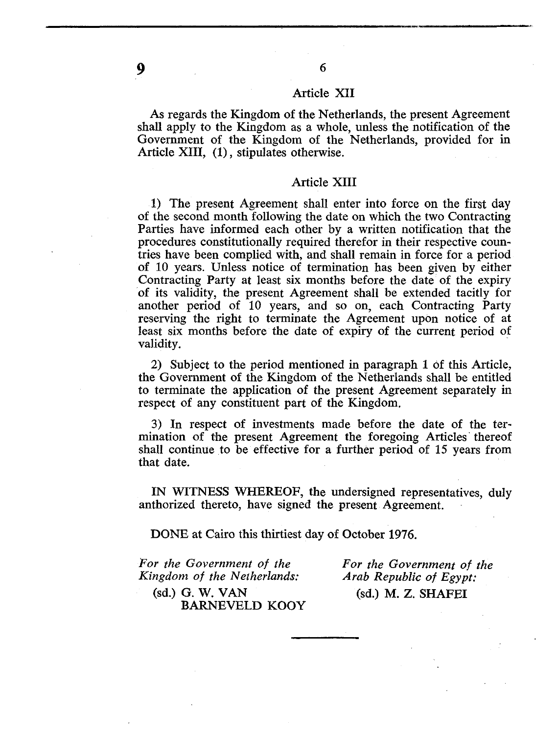#### Article XII

6

As regards the Kingdom of the Netherlands, the present Agreement shall apply to the Kingdom as a whole, unless the notification of the Government of the Kingdom of the Netherlands, provided for in Article XIII, (1), stipulates otherwise.

#### Article XIII

1) The present Agreement shall enter into force on the first day of the second month following the date on which the two Contracting Parties have informed each other by a written notification that the procedures constitutionally required therefor in their respective countries have been complied with, and shall remain in force for a period of 10 years. Unless notice of termination has been given by either Contracting Party at least six months before the date of the expiry of its validity, the present Agreement shall be extended tacitly for another period of 10 years, and so on, each Contracting Party reserving the right to terminate the Agreement upon notice of at least six months before the date of expiry of the current period of validity.

2) Subject to the period mentioned in paragraph 1 of this Article, the Government of the Kingdom of the Netherlands shall be entitled to terminate the application of the present Agreement separately in respect of any constituent part of the Kingdom.

3) In respect of investments made before the date of the termination of the present Agreement the foregoing Articles thereof shall continue to be effective for a further period of 15 years from that date.

IN WITNESS WHEREOF, the undersigned representatives, duly anthorized thereto, have signed the present Agreement.

DONE at Cairo this thirtiest day of October 1976.

*For the Government of the For the Government of the Kingdom of the Netherlands: Arab Republic of Egypt: Kingdom of the Netherlands:* 

(sd.) G. W. VAN (sd.) M. Z. SHAFEI

BARNEVELD KOOY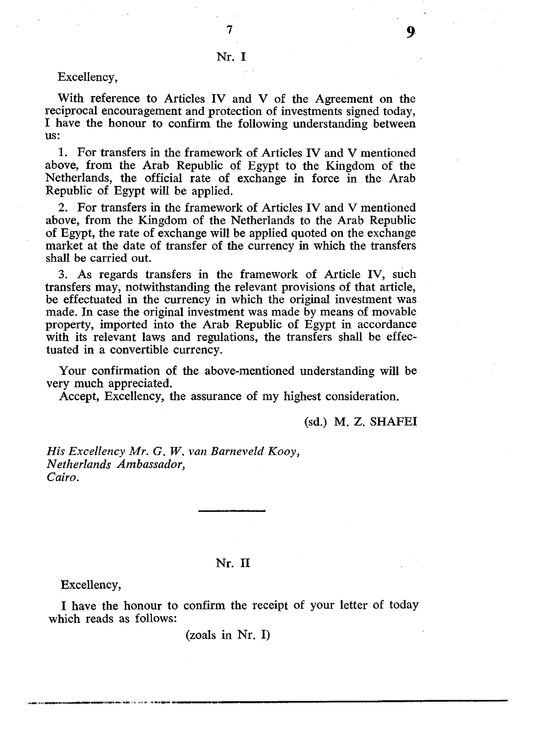$\overline{7}$ 

## Excellency,

With reference to Articles IV and V of the Agreement on the reciprocal encouragement and protection of investments signed today, I have the honour to confirm the following understanding between us:

1. For transfers in the framework of Articles IV and V mentioned above, from the Arab Republic of Egypt to the Kingdom of the Netherlands, the official rate of exchange in force in the Arab Republic of Egypt will be applied.

2. For transfers in the framework of Articles IV and V mentioned above, from the Kingdom of the Netherlands to the Arab Republic of Egypt, the rate of exchange will be applied quoted on the exchange market at the date of transfer of the currency in which the transfers shall be carried out.

3. As regards transfers in the framework of Article IV, such transfers may, notwithstanding the relevant provisions of that article, be effectuated in the currency in which the original investment was made. In case the original investment was made by means of movable property, imported into the Arab Republic of Egypt in accordance with its relevant laws and regulations, the transfers shall be effectuated in a convertible currency.

Your confirmation of the above-mentioned understanding will be very much appreciated.

Accept, Excellency, the assurance of my highest consideration.

(sd.) M. Z. SHAFEI

*His Excellency Mr. G. W. van Barneveld Kooy, Netherlands Ambassador, Cairo.*

# Nr. II

Excellency,

I have the honour to confirm the receipt of your letter of today which reads as follows:

(zoals in Nr. I)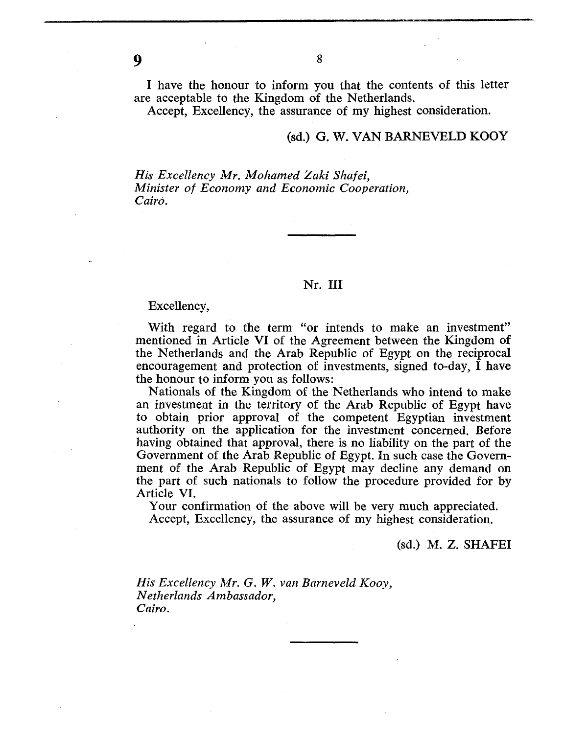I have the honour to inform you that the contents of this letter are acceptable to the Kingdom of the Netherlands.

Accept, Excellency, the assurance of my highest consideration.

# (sd.) G. W. VAN BARNEVELD KOOY

*His Excellency Mr. Mohamed Zaki Shafei, Minister of Economy and Economic Cooperation, Cairo.*

#### Nr. Ill

#### Excellency,

With regard to the term "or intends to make an investment" mentioned in Article VI of the Agreement between the Kingdom of the Netherlands and the Arab Republic of Egypt on the reciprocal encouragement and protection of investments, signed to-day, I have the honour to inform you as follows:

Nationals of the Kingdom of the Netherlands who intend to make an investment in the territory of the Arab Republic of Egypt have to obtain prior approval of the competent Egyptian investment authority on the application for the investment concerned. Before having obtained that approval, there is no liability on the part of the Government of the Arab Republic of Egypt. In such case the Government of the Arab Republic of Egypt may decline any demand on the part of such nationals to follow the procedure provided for by Article VI.

Your confirmation of the above will be very much appreciated. Accept, Excellency, the assurance of my highest consideration.

(sd.) M. Z. SHAFEI

*His Excellency Mr. G. W. van Barneveld Kooy, Netherlands Ambassador, Cairo.*